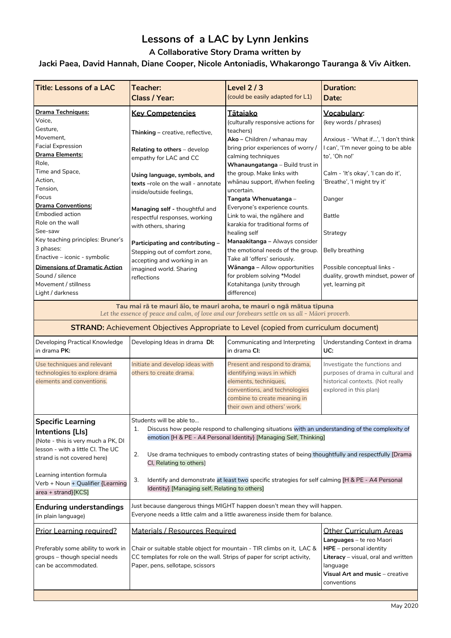# **Lessons of a LAC by Lynn Jenkins**

**A Collaborative Story Drama written by**

#### **Jacki Paea, David Hannah, Diane Cooper, Nicole Antoniadis, Whakarongo Tauranga & Viv Aitken.**

| <b>Title: Lessons of a LAC</b>                                                                                                                                         | <b>Teacher:</b><br>Class / Year:                                                                                                                                                                                                                                                                                 | Level $2/3$<br>(could be easily adapted for L1)                                                                                                                                     | <b>Duration:</b><br><b>Date:</b>                                                                                                                                |
|------------------------------------------------------------------------------------------------------------------------------------------------------------------------|------------------------------------------------------------------------------------------------------------------------------------------------------------------------------------------------------------------------------------------------------------------------------------------------------------------|-------------------------------------------------------------------------------------------------------------------------------------------------------------------------------------|-----------------------------------------------------------------------------------------------------------------------------------------------------------------|
| <b>Drama Techniques:</b>                                                                                                                                               | <b>Key Competencies</b>                                                                                                                                                                                                                                                                                          | <u>Tātaiako</u>                                                                                                                                                                     | Vocabulary:                                                                                                                                                     |
| Voice,<br>Gesture,<br>Movement,                                                                                                                                        | <b>Thinking</b> – creative, reflective,                                                                                                                                                                                                                                                                          | (culturally responsive actions for<br>teachers)                                                                                                                                     | (key words / phrases)                                                                                                                                           |
| <b>Facial Expression</b><br><b>Drama Elements:</b><br>Role,                                                                                                            | Relating to others - develop<br>empathy for LAC and CC                                                                                                                                                                                                                                                           | <b>Ako</b> – Children / whanau may<br>bring prior experiences of worry /<br>calming techniques<br>Whanaungatanga - Build trust in                                                   | Anxious - 'What if…', 'I don't think<br>I can', 'I'm never going to be able<br>to', 'Oh no!'                                                                    |
| Time and Space,<br>Action,<br>Tension,<br>Focus                                                                                                                        | Using language, symbols, and<br>texts -role on the wall - annotate<br>inside/outside feelings,                                                                                                                                                                                                                   | the group. Make links with<br>whānau support, if/when feeling<br>uncertain.<br>Tangata Whenuatanga -                                                                                | Calm - 'It's okay', 'I can do it',<br>'Breathe', 'I might try it'<br>Danger                                                                                     |
| <b>Drama Conventions:</b><br><b>Embodied action</b><br>Role on the wall                                                                                                | Managing self - thoughtful and<br>respectful responses, working<br>with others, sharing                                                                                                                                                                                                                          | Everyone's experience counts.<br>Link to wai, the ngahere and<br>karakia for traditional forms of                                                                                   | Battle                                                                                                                                                          |
| See-saw<br>Key teaching principles: Bruner's<br>3 phases:                                                                                                              | Participating and contributing -<br>Stepping out of comfort zone,                                                                                                                                                                                                                                                | healing self<br>Manaakitanga – Always consider<br>the emotional needs of the group.                                                                                                 | Strategy<br>Belly breathing                                                                                                                                     |
| Enactive – iconic - symbolic<br><b>Dimensions of Dramatic Action</b><br>Sound / silence<br>Movement / stillness<br>Light / darkness                                    | accepting and working in an<br>imagined world. Sharing<br>reflections                                                                                                                                                                                                                                            | Take all 'offers' seriously.<br>Wānanga - Allow opportunities<br>for problem solving *Model<br>Kotahitanga (unity through<br>difference)                                            | Possible conceptual links -<br>duality, growth mindset, power of<br>yet, learning pit                                                                           |
| Tau mai rā te mauri āio, te mauri aroha, te mauri o ngā mātua tīpuna<br>Let the essence of peace and calm, of love and our forebears settle on us all - Māori proverb. |                                                                                                                                                                                                                                                                                                                  |                                                                                                                                                                                     |                                                                                                                                                                 |
|                                                                                                                                                                        | <b>STRAND:</b> Achievement Objectives Appropriate to Level (copied from curriculum document)                                                                                                                                                                                                                     |                                                                                                                                                                                     |                                                                                                                                                                 |
| Developing Practical Knowledge<br>in drama PK:                                                                                                                         | Developing Ideas in drama DI:                                                                                                                                                                                                                                                                                    | Communicating and Interpreting<br>in drama CI:                                                                                                                                      | Understanding Context in drama<br>UC:                                                                                                                           |
| Use techniques and relevant<br>technologies to explore drama<br>elements and conventions.                                                                              | Initiate and develop ideas with<br>others to create drama.                                                                                                                                                                                                                                                       | Present and respond to drama,<br>identifying ways in which<br>elements, techniques,<br>conventions, and technologies<br>combine to create meaning in<br>their own and others' work. | Investigate the functions and<br>purposes of drama in cultural and<br>historical contexts. (Not really<br>explored in this plan)                                |
| <b>Specific Learning</b><br>Intentions [Lls]<br>(Note - this is very much a PK, DI<br>lesson - with a little CI. The UC                                                | Students will be able to<br>Discuss how people respond to challenging situations with an understanding of the complexity of<br>1.<br>emotion [H & PE - A4 Personal Identity] [Managing Self, Thinking]<br>2.<br>Use drama techniques to embody contrasting states of being thoughtfully and respectfully [Drama] |                                                                                                                                                                                     |                                                                                                                                                                 |
| strand is not covered here)<br>Learning intention formula<br>Verb + Noun + Qualifier {Learning<br>$area + strand}$ [KCS]                                               | CI, Relating to others]<br>3.<br>Identify and demonstrate at least two specific strategies for self calming [H & PE - A4 Personal<br>Identity} [Managing self, Relating to others]                                                                                                                               |                                                                                                                                                                                     |                                                                                                                                                                 |
| <b>Enduring understandings</b><br>(in plain language)                                                                                                                  | Just because dangerous things MIGHT happen doesn't mean they will happen.<br>Everyone needs a little calm and a little awareness inside them for balance.                                                                                                                                                        |                                                                                                                                                                                     |                                                                                                                                                                 |
| <b>Prior Learning required?</b>                                                                                                                                        | Materials / Resources Required                                                                                                                                                                                                                                                                                   |                                                                                                                                                                                     | <b>Other Curriculum Areas</b>                                                                                                                                   |
| Preferably some ability to work in<br>groups - though special needs<br>can be accommodated.                                                                            | Chair or suitable stable object for mountain - TIR climbs on it, LAC &<br>CC templates for role on the wall. Strips of paper for script activity,<br>Paper, pens, sellotape, scissors                                                                                                                            |                                                                                                                                                                                     | Languages - te reo Maori<br>HPE - personal identity<br>Literacy - visual, oral and written<br>language<br><b>Visual Art and music</b> – creative<br>conventions |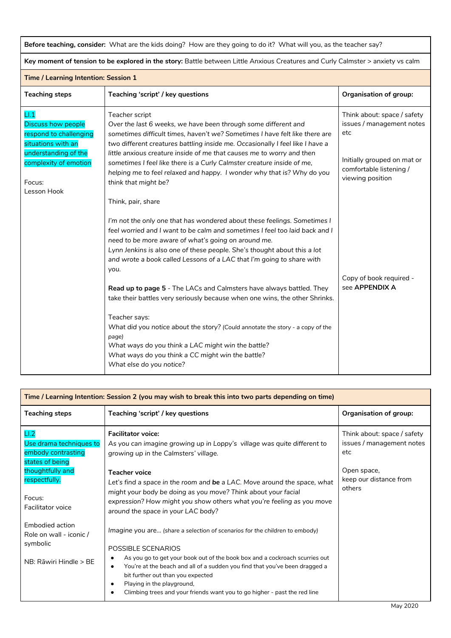**Before teaching, consider:** What are the kids doing? How are they going to do it? What will you, as the teacher say?

**Key moment of tension to be explored in the story:** Battle between Little Anxious Creatures and Curly Calmster > anxiety vs calm

| Time / Learning Intention: Session 1                                                                                                       |                                                                                                                                                                                                                                                                                                                                                                                                                                                                                                                                                                                                                                                                                                                                                                                                             |                                                                                                                                               |  |
|--------------------------------------------------------------------------------------------------------------------------------------------|-------------------------------------------------------------------------------------------------------------------------------------------------------------------------------------------------------------------------------------------------------------------------------------------------------------------------------------------------------------------------------------------------------------------------------------------------------------------------------------------------------------------------------------------------------------------------------------------------------------------------------------------------------------------------------------------------------------------------------------------------------------------------------------------------------------|-----------------------------------------------------------------------------------------------------------------------------------------------|--|
| <b>Teaching steps</b>                                                                                                                      | Teaching 'script' / key questions                                                                                                                                                                                                                                                                                                                                                                                                                                                                                                                                                                                                                                                                                                                                                                           | <b>Organisation of group:</b>                                                                                                                 |  |
| LI<br><b>Discuss how people</b><br>respond to challenging<br>situations with an<br>understanding of the<br>complexity of emotion<br>Focus: | Teacher script<br>Over the last 6 weeks, we have been through some different and<br>sometimes difficult times, haven't we? Sometimes I have felt like there are<br>two different creatures battling inside me. Occasionally I feel like I have a<br>little anxious creature inside of me that causes me to worry and then<br>sometimes I feel like there is a Curly Calmster creature inside of me,<br>helping me to feel relaxed and happy. I wonder why that is? Why do you<br>think that might be?                                                                                                                                                                                                                                                                                                       | Think about: space / safety<br>issues / management notes<br>etc<br>Initially grouped on mat or<br>comfortable listening /<br>viewing position |  |
| Lesson Hook                                                                                                                                | Think, pair, share<br>I'm not the only one that has wondered about these feelings. Sometimes I<br>feel worried and I want to be calm and sometimes I feel too laid back and I<br>need to be more aware of what's going on around me.<br>Lynn Jenkins is also one of these people. She's thought about this a lot<br>and wrote a book called Lessons of a LAC that I'm going to share with<br>you.<br>Read up to page 5 - The LACs and Calmsters have always battled. They<br>take their battles very seriously because when one wins, the other Shrinks.<br>Teacher says:<br>What did you notice about the story? (Could annotate the story - a copy of the<br>page)<br>What ways do you think a LAC might win the battle?<br>What ways do you think a CC might win the battle?<br>What else do you notice? | Copy of book required -<br>see APPENDIX A                                                                                                     |  |

| Time / Learning Intention: Session 2 (you may wish to break this into two parts depending on time) |                                                                                                                                                                                                                                                                                                                                                                                                                              |                                                                 |
|----------------------------------------------------------------------------------------------------|------------------------------------------------------------------------------------------------------------------------------------------------------------------------------------------------------------------------------------------------------------------------------------------------------------------------------------------------------------------------------------------------------------------------------|-----------------------------------------------------------------|
| <b>Teaching steps</b>                                                                              | Teaching 'script' / key questions                                                                                                                                                                                                                                                                                                                                                                                            | <b>Organisation of group:</b>                                   |
| LI.2<br>Use drama techniques to<br>embody contrasting<br>states of being                           | <b>Facilitator voice:</b><br>As you can imagine growing up in Loppy's village was quite different to<br>growing up in the Calmsters' village.                                                                                                                                                                                                                                                                                | Think about: space / safety<br>issues / management notes<br>etc |
| thoughtfully and<br>respectfully.<br>Focus:<br>Facilitator voice                                   | <b>Teacher voice</b><br>Let's find a space in the room and be a LAC. Move around the space, what<br>might your body be doing as you move? Think about your facial<br>expression? How might you show others what you're feeling as you move<br>around the space in your LAC body?                                                                                                                                             | Open space,<br>keep our distance from<br>others                 |
| Embodied action<br>Role on wall - iconic /<br>symbolic<br>NB: Rāwiri Hindle > BE                   | Imagine you are (share a selection of scenarios for the children to embody)<br>POSSIBLE SCENARIOS<br>As you go to get your book out of the book box and a cockroach scurries out<br>You're at the beach and all of a sudden you find that you've been dragged a<br>$\bullet$<br>bit further out than you expected<br>Playing in the playground,<br>Climbing trees and your friends want you to go higher - past the red line |                                                                 |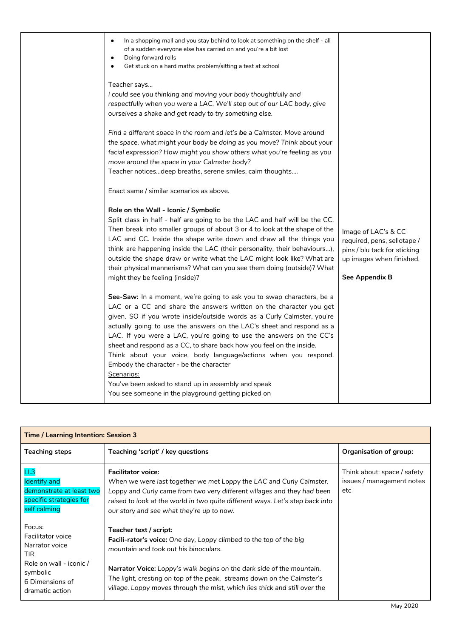| In a shopping mall and you stay behind to look at something on the shelf - all<br>$\bullet$<br>of a sudden everyone else has carried on and you're a bit lost<br>Doing forward rolls<br>٠<br>Get stuck on a hard maths problem/sitting a test at school<br>$\bullet$<br>Teacher says<br>I could see you thinking and moving your body thoughtfully and<br>respectfully when you were a LAC. We'll step out of our LAC body, give<br>ourselves a shake and get ready to try something else.<br>Find a different space in the room and let's be a Calmster. Move around<br>the space, what might your body be doing as you move? Think about your<br>facial expression? How might you show others what you're feeling as you<br>move around the space in your Calmster body?<br>Teacher noticesdeep breaths, serene smiles, calm thoughts |                                                                                                                                  |
|-----------------------------------------------------------------------------------------------------------------------------------------------------------------------------------------------------------------------------------------------------------------------------------------------------------------------------------------------------------------------------------------------------------------------------------------------------------------------------------------------------------------------------------------------------------------------------------------------------------------------------------------------------------------------------------------------------------------------------------------------------------------------------------------------------------------------------------------|----------------------------------------------------------------------------------------------------------------------------------|
| Enact same / similar scenarios as above.<br>Role on the Wall - Iconic / Symbolic<br>Split class in half - half are going to be the LAC and half will be the CC.<br>Then break into smaller groups of about 3 or 4 to look at the shape of the<br>LAC and CC. Inside the shape write down and draw all the things you<br>think are happening inside the LAC (their personality, their behaviours),<br>outside the shape draw or write what the LAC might look like? What are<br>their physical mannerisms? What can you see them doing (outside)? What<br>might they be feeling (inside)?                                                                                                                                                                                                                                                | Image of LAC's & CC<br>required, pens, sellotape /<br>pins / blu tack for sticking<br>up images when finished.<br>See Appendix B |
| See-Saw: In a moment, we're going to ask you to swap characters, be a<br>LAC or a CC and share the answers written on the character you get<br>given. SO if you wrote inside/outside words as a Curly Calmster, you're<br>actually going to use the answers on the LAC's sheet and respond as a<br>LAC. If you were a LAC, you're going to use the answers on the CC's<br>sheet and respond as a CC, to share back how you feel on the inside.<br>Think about your voice, body language/actions when you respond.<br>Embody the character - be the character<br>Scenarios:<br>You've been asked to stand up in assembly and speak<br>You see someone in the playground getting picked on                                                                                                                                                |                                                                                                                                  |

| Time / Learning Intention: Session 3                                                              |                                                                                                                                                                                                                                                                                                           |                                                                 |
|---------------------------------------------------------------------------------------------------|-----------------------------------------------------------------------------------------------------------------------------------------------------------------------------------------------------------------------------------------------------------------------------------------------------------|-----------------------------------------------------------------|
| <b>Teaching steps</b>                                                                             | Teaching 'script' / key questions                                                                                                                                                                                                                                                                         | Organisation of group:                                          |
| $\sqcup.3$<br>Identify and<br>demonstrate at least two<br>specific strategies for<br>self calming | <b>Facilitator voice:</b><br>When we were last together we met Loppy the LAC and Curly Calmster.<br>Loppy and Curly came from two very different villages and they had been<br>raised to look at the world in two quite different ways. Let's step back into<br>our story and see what they're up to now. | Think about: space / safety<br>issues / management notes<br>etc |
| Focus:<br><b>Facilitator voice</b><br>Narrator voice<br><b>TIR</b>                                | Teacher text / script:<br><b>Facili-rator's voice:</b> One day, Loppy climbed to the top of the big<br>mountain and took out his binoculars.                                                                                                                                                              |                                                                 |
| Role on wall - iconic /<br>symbolic<br>6 Dimensions of<br>dramatic action                         | <b>Narrator Voice:</b> Loppy's walk begins on the dark side of the mountain.<br>The light, cresting on top of the peak, streams down on the Calmster's<br>village. Loppy moves through the mist, which lies thick and still over the                                                                      |                                                                 |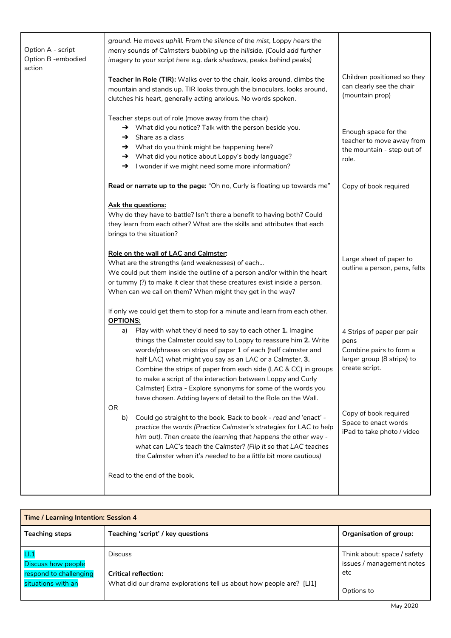| Option A - script<br>Option B - embodied<br>action | ground. He moves uphill. From the silence of the mist, Loppy hears the<br>merry sounds of Calmsters bubbling up the hillside. (Could add further<br>imagery to your script here e.g. dark shadows, peaks behind peaks)                                                                                                                                                                                                                                                                                                              |                                                                                                               |
|----------------------------------------------------|-------------------------------------------------------------------------------------------------------------------------------------------------------------------------------------------------------------------------------------------------------------------------------------------------------------------------------------------------------------------------------------------------------------------------------------------------------------------------------------------------------------------------------------|---------------------------------------------------------------------------------------------------------------|
|                                                    | Teacher In Role (TIR): Walks over to the chair, looks around, climbs the<br>mountain and stands up. TIR looks through the binoculars, looks around,<br>clutches his heart, generally acting anxious. No words spoken.                                                                                                                                                                                                                                                                                                               | Children positioned so they<br>can clearly see the chair<br>(mountain prop)                                   |
|                                                    | Teacher steps out of role (move away from the chair)<br>→ What did you notice? Talk with the person beside you.<br>Share as a class<br>$\rightarrow$<br>→ What do you think might be happening here?<br>→ What did you notice about Loppy's body language?<br>→ I wonder if we might need some more information?                                                                                                                                                                                                                    | Enough space for the<br>teacher to move away from<br>the mountain - step out of<br>role.                      |
|                                                    | Read or narrate up to the page: "Oh no, Curly is floating up towards me"                                                                                                                                                                                                                                                                                                                                                                                                                                                            | Copy of book required                                                                                         |
|                                                    | <b>Ask the questions:</b><br>Why do they have to battle? Isn't there a benefit to having both? Could<br>they learn from each other? What are the skills and attributes that each<br>brings to the situation?                                                                                                                                                                                                                                                                                                                        |                                                                                                               |
|                                                    | Role on the wall of LAC and Calmster:<br>What are the strengths (and weaknesses) of each<br>We could put them inside the outline of a person and/or within the heart<br>or tummy (?) to make it clear that these creatures exist inside a person.<br>When can we call on them? When might they get in the way?                                                                                                                                                                                                                      | Large sheet of paper to<br>outline a person, pens, felts                                                      |
|                                                    | If only we could get them to stop for a minute and learn from each other.                                                                                                                                                                                                                                                                                                                                                                                                                                                           |                                                                                                               |
|                                                    | Play with what they'd need to say to each other 1. Imagine<br>a)<br>things the Calmster could say to Loppy to reassure him 2. Write<br>words/phrases on strips of paper 1 of each (half calmster and<br>half LAC) what might you say as an LAC or a Calmster. 3.<br>Combine the strips of paper from each side (LAC & CC) in groups<br>to make a script of the interaction between Loppy and Curly<br>Calmster) Extra - Explore synonyms for some of the words you<br>have chosen. Adding layers of detail to the Role on the Wall. | 4 Strips of paper per pair<br>pens<br>Combine pairs to form a<br>larger group (8 strips) to<br>create script. |
|                                                    | Could go straight to the book. Back to book - read and 'enact' -<br>b)<br>practice the words (Practice Calmster's strategies for LAC to help<br>him out). Then create the learning that happens the other way -<br>what can LAC's teach the Calmster? (Flip it so that LAC teaches<br>the Calmster when it's needed to be a little bit more cautious)                                                                                                                                                                               | Copy of book required<br>Space to enact words<br>iPad to take photo / video                                   |
|                                                    | Read to the end of the book.                                                                                                                                                                                                                                                                                                                                                                                                                                                                                                        |                                                                                                               |
|                                                    | <b>OPTIONS:</b><br>0R                                                                                                                                                                                                                                                                                                                                                                                                                                                                                                               |                                                                                                               |

| <b>Time / Learning Intention: Session 4</b> |                                                                     |                                                          |
|---------------------------------------------|---------------------------------------------------------------------|----------------------------------------------------------|
| <b>Teaching steps</b>                       | Teaching 'script' / key questions                                   | Organisation of group:                                   |
| L1.1<br>Discuss how people                  | <b>Discuss</b>                                                      | Think about: space / safety<br>issues / management notes |
| respond to challenging                      | <b>Critical reflection:</b>                                         | etc                                                      |
| situations with an                          | What did our drama explorations tell us about how people are? [LI1] | Options to                                               |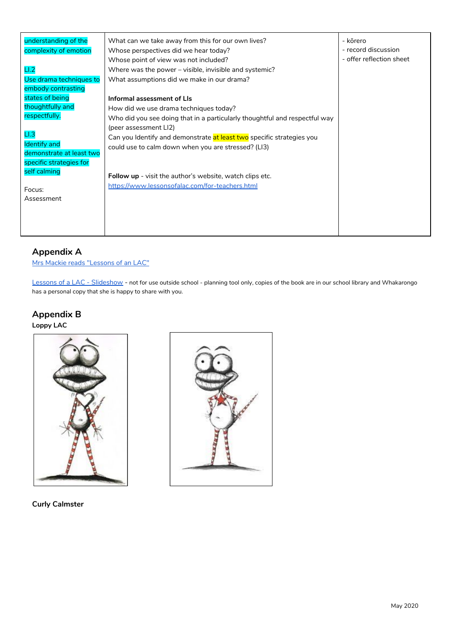| understanding of the     | What can we take away from this for our own lives?                         | - kōrero                 |
|--------------------------|----------------------------------------------------------------------------|--------------------------|
| complexity of emotion    | Whose perspectives did we hear today?                                      | - record discussion      |
|                          | Whose point of view was not included?                                      | - offer reflection sheet |
| LI.2                     | Where was the power – visible, invisible and systemic?                     |                          |
| Use drama techniques to  | What assumptions did we make in our drama?                                 |                          |
| embody contrasting       |                                                                            |                          |
| states of being          | Informal assessment of LIs                                                 |                          |
| thoughtfully and         | How did we use drama techniques today?                                     |                          |
| respectfully.            | Who did you see doing that in a particularly thoughtful and respectful way |                          |
|                          | (peer assessment LI2)                                                      |                          |
| $\sqcup.3$               | Can you Identify and demonstrate at least two specific strategies you      |                          |
| <b>Identify</b> and      | could use to calm down when you are stressed? (LI3)                        |                          |
| demonstrate at least two |                                                                            |                          |
| specific strategies for  |                                                                            |                          |
| self calming             | <b>Follow up</b> - visit the author's website, watch clips etc.            |                          |
| Focus:                   | https://www.lessonsofalac.com/for-teachers.html                            |                          |
| Assessment               |                                                                            |                          |
|                          |                                                                            |                          |
|                          |                                                                            |                          |
|                          |                                                                            |                          |
|                          |                                                                            |                          |

## **Appendix A**

Mrs Mackie reads ["Lessons](https://www.youtube.com/watch?v=6xoTCaX3bsE) of an LAC"

Lessons of a LAC - [Slideshow](https://docs.google.com/presentation/d/1GFrIfEWjkEdfvkAQiMzBLMJpOQL7rCtLBLGt1SqqDmI/edit#slide=id.g77e2d2f5fc_0_86) - not for use outside school - planning tool only, copies of the book are in our school library and Whakarongo has a personal copy that she is happy to share with you.

### **Appendix B**

**Loppy LAC**





**Curly Calmster**